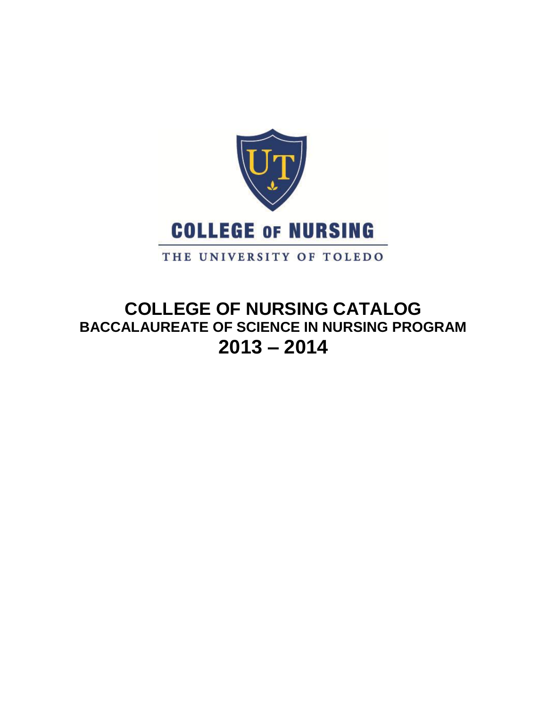

# **COLLEGE OF NURSING CATALOG BACCALAUREATE OF SCIENCE IN NURSING PROGRAM 2013 – 2014**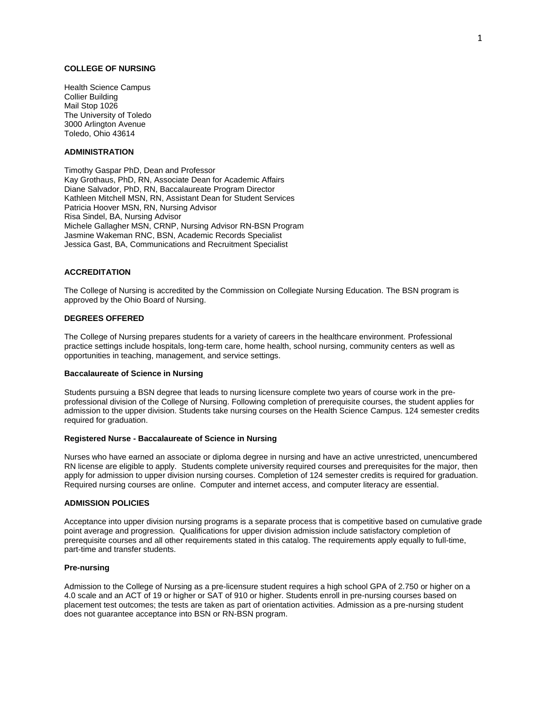# **COLLEGE OF NURSING**

Health Science Campus Collier Building Mail Stop 1026 The University of Toledo 3000 Arlington Avenue Toledo, Ohio 43614

# **ADMINISTRATION**

Timothy Gaspar PhD, Dean and Professor Kay Grothaus, PhD, RN, Associate Dean for Academic Affairs Diane Salvador, PhD, RN, Baccalaureate Program Director Kathleen Mitchell MSN, RN, Assistant Dean for Student Services Patricia Hoover MSN, RN, Nursing Advisor Risa Sindel, BA, Nursing Advisor Michele Gallagher MSN, CRNP, Nursing Advisor RN-BSN Program Jasmine Wakeman RNC, BSN, Academic Records Specialist Jessica Gast, BA, Communications and Recruitment Specialist

# **ACCREDITATION**

The College of Nursing is accredited by the Commission on Collegiate Nursing Education. The BSN program is approved by the Ohio Board of Nursing.

## **DEGREES OFFERED**

The College of Nursing prepares students for a variety of careers in the healthcare environment. Professional practice settings include hospitals, long-term care, home health, school nursing, community centers as well as opportunities in teaching, management, and service settings.

#### **Baccalaureate of Science in Nursing**

Students pursuing a BSN degree that leads to nursing licensure complete two years of course work in the preprofessional division of the College of Nursing. Following completion of prerequisite courses, the student applies for admission to the upper division. Students take nursing courses on the Health Science Campus. 124 semester credits required for graduation.

#### **Registered Nurse - Baccalaureate of Science in Nursing**

Nurses who have earned an associate or diploma degree in nursing and have an active unrestricted, unencumbered RN license are eligible to apply. Students complete university required courses and prerequisites for the major, then apply for admission to upper division nursing courses. Completion of 124 semester credits is required for graduation. Required nursing courses are online. Computer and internet access, and computer literacy are essential.

#### **ADMISSION POLICIES**

Acceptance into upper division nursing programs is a separate process that is competitive based on cumulative grade point average and progression. Qualifications for upper division admission include satisfactory completion of prerequisite courses and all other requirements stated in this catalog. The requirements apply equally to full-time, part-time and transfer students.

#### **Pre-nursing**

Admission to the College of Nursing as a pre-licensure student requires a high school GPA of 2.750 or higher on a 4.0 scale and an ACT of 19 or higher or SAT of 910 or higher. Students enroll in pre-nursing courses based on placement test outcomes; the tests are taken as part of orientation activities. Admission as a pre-nursing student does not guarantee acceptance into BSN or RN-BSN program.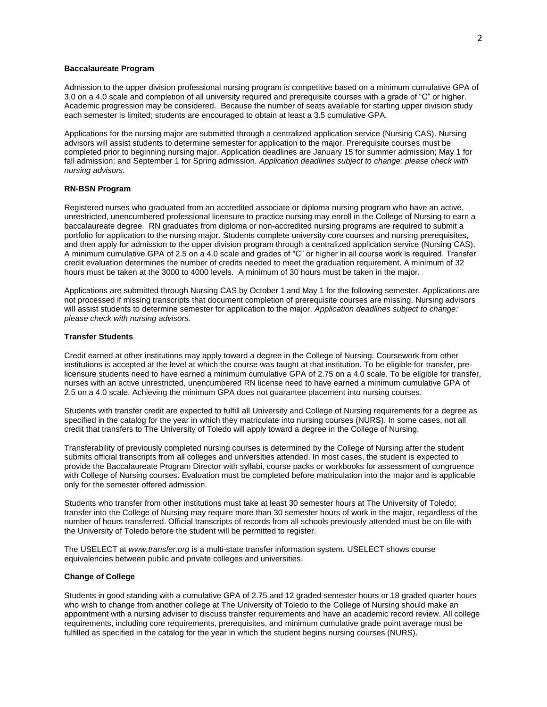## **Baccalaureate Program**

Admission to the upper division professional nursing program is competitive based on a minimum cumulative GPA of 3.0 on a 4.0 scale and completion of all university required and prerequisite courses with a grade of "C" or higher. Academic progression may be considered. Because the number of seats available for starting upper division study each semester is limited; students are encouraged to obtain at least a 3.5 cumulative GPA.

Applications for the nursing major are submitted through a centralized application service (Nursing CAS). Nursing advisors will assist students to determine semester for application to the major. Prerequisite courses must be completed prior to beginning nursing major. Application deadlines are January 15 for summer admission; May 1 for fall admission; and September 1 for Spring admission. *Application deadlines subject to change: please check with nursing advisors.*

#### **RN-BSN Program**

Registered nurses who graduated from an accredited associate or diploma nursing program who have an active, unrestricted, unencumbered professional licensure to practice nursing may enroll in the College of Nursing to earn a baccalaureate degree. RN graduates from diploma or non-accredited nursing programs are required to submit a portfolio for application to the nursing major. Students complete university core courses and nursing prerequisites, and then apply for admission to the upper division program through a centralized application service (Nursing CAS). A minimum cumulative GPA of 2.5 on a 4.0 scale and grades of "C" or higher in all course work is required. Transfer credit evaluation determines the number of credits needed to meet the graduation requirement. A minimum of 32 hours must be taken at the 3000 to 4000 levels. A minimum of 30 hours must be taken in the major.

Applications are submitted through Nursing CAS by October 1 and May 1 for the following semester. Applications are not processed if missing transcripts that document completion of prerequisite courses are missing. Nursing advisors will assist students to determine semester for application to the major. *Application deadlines subject to change: please check with nursing advisors.*

#### **Transfer Students**

Credit earned at other institutions may apply toward a degree in the College of Nursing. Coursework from other institutions is accepted at the level at which the course was taught at that institution. To be eligible for transfer, prelicensure students need to have earned a minimum cumulative GPA of 2.75 on a 4.0 scale. To be eligible for transfer, nurses with an active unrestricted, unencumbered RN license need to have earned a minimum cumulative GPA of 2.5 on a 4.0 scale. Achieving the minimum GPA does not guarantee placement into nursing courses.

Students with transfer credit are expected to fulfill all University and College of Nursing requirements for a degree as specified in the catalog for the year in which they matriculate into nursing courses (NURS). In some cases, not all credit that transfers to The University of Toledo will apply toward a degree in the College of Nursing.

Transferability of previously completed nursing courses is determined by the College of Nursing after the student submits official transcripts from all colleges and universities attended. In most cases, the student is expected to provide the Baccalaureate Program Director with syllabi, course packs or workbooks for assessment of congruence with College of Nursing courses. Evaluation must be completed before matriculation into the major and is applicable only for the semester offered admission.

Students who transfer from other institutions must take at least 30 semester hours at The University of Toledo; transfer into the College of Nursing may require more than 30 semester hours of work in the major, regardless of the number of hours transferred. Official transcripts of records from all schools previously attended must be on file with the University of Toledo before the student will be permitted to register.

The USELECT at *www.transfer.org* is a multi-state transfer information system. USELECT shows course equivalencies between public and private colleges and universities.

### **Change of College**

Students in good standing with a cumulative GPA of 2.75 and 12 graded semester hours or 18 graded quarter hours who wish to change from another college at The University of Toledo to the College of Nursing should make an appointment with a nursing adviser to discuss transfer requirements and have an academic record review. All college requirements, including core requirements, prerequisites, and minimum cumulative grade point average must be fulfilled as specified in the catalog for the year in which the student begins nursing courses (NURS).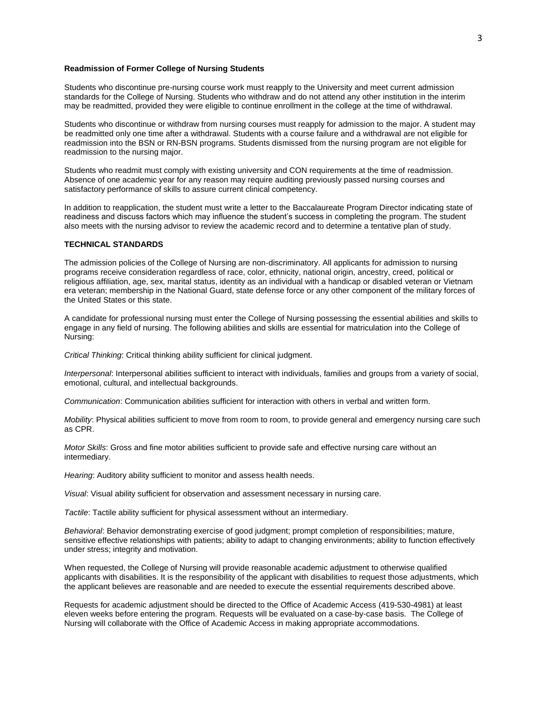## **Readmission of Former College of Nursing Students**

Students who discontinue pre-nursing course work must reapply to the University and meet current admission standards for the College of Nursing. Students who withdraw and do not attend any other institution in the interim may be readmitted, provided they were eligible to continue enrollment in the college at the time of withdrawal.

Students who discontinue or withdraw from nursing courses must reapply for admission to the major. A student may be readmitted only one time after a withdrawal. Students with a course failure and a withdrawal are not eligible for readmission into the BSN or RN-BSN programs. Students dismissed from the nursing program are not eligible for readmission to the nursing major.

Students who readmit must comply with existing university and CON requirements at the time of readmission. Absence of one academic year for any reason may require auditing previously passed nursing courses and satisfactory performance of skills to assure current clinical competency.

In addition to reapplication, the student must write a letter to the Baccalaureate Program Director indicating state of readiness and discuss factors which may influence the student's success in completing the program. The student also meets with the nursing advisor to review the academic record and to determine a tentative plan of study.

## **TECHNICAL STANDARDS**

The admission policies of the College of Nursing are non-discriminatory. All applicants for admission to nursing programs receive consideration regardless of race, color, ethnicity, national origin, ancestry, creed, political or religious affiliation, age, sex, marital status, identity as an individual with a handicap or disabled veteran or Vietnam era veteran; membership in the National Guard, state defense force or any other component of the military forces of the United States or this state.

A candidate for professional nursing must enter the College of Nursing possessing the essential abilities and skills to engage in any field of nursing. The following abilities and skills are essential for matriculation into the College of Nursing:

*Critical Thinking*: Critical thinking ability sufficient for clinical judgment.

*Interpersonal*: Interpersonal abilities sufficient to interact with individuals, families and groups from a variety of social, emotional, cultural, and intellectual backgrounds.

*Communication*: Communication abilities sufficient for interaction with others in verbal and written form.

*Mobility*: Physical abilities sufficient to move from room to room, to provide general and emergency nursing care such as CPR.

*Motor Skills*: Gross and fine motor abilities sufficient to provide safe and effective nursing care without an intermediary.

*Hearing*: Auditory ability sufficient to monitor and assess health needs.

*Visual*: Visual ability sufficient for observation and assessment necessary in nursing care.

*Tactile*: Tactile ability sufficient for physical assessment without an intermediary.

*Behavioral*: Behavior demonstrating exercise of good judgment; prompt completion of responsibilities; mature, sensitive effective relationships with patients; ability to adapt to changing environments; ability to function effectively under stress; integrity and motivation.

When requested, the College of Nursing will provide reasonable academic adjustment to otherwise qualified applicants with disabilities. It is the responsibility of the applicant with disabilities to request those adjustments, which the applicant believes are reasonable and are needed to execute the essential requirements described above.

Requests for academic adjustment should be directed to the Office of Academic Access (419-530-4981) at least eleven weeks before entering the program. Requests will be evaluated on a case-by-case basis. The College of Nursing will collaborate with the Office of Academic Access in making appropriate accommodations.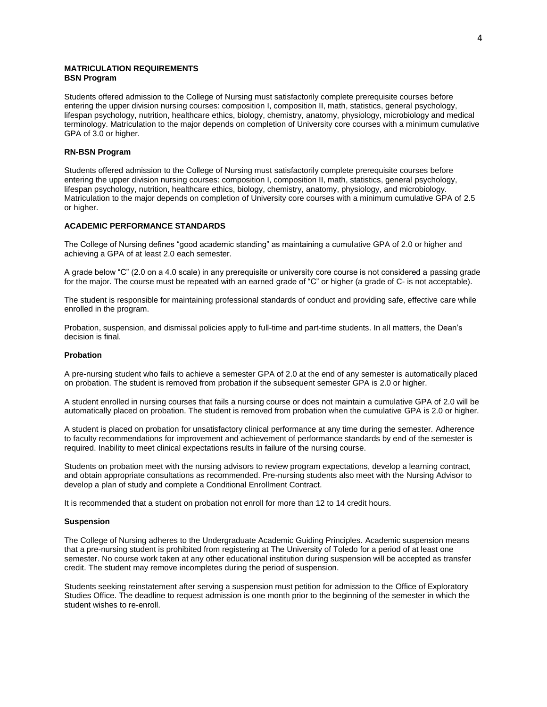## **MATRICULATION REQUIREMENTS BSN Program**

Students offered admission to the College of Nursing must satisfactorily complete prerequisite courses before entering the upper division nursing courses: composition I, composition II, math, statistics, general psychology, lifespan psychology, nutrition, healthcare ethics, biology, chemistry, anatomy, physiology, microbiology and medical terminology. Matriculation to the major depends on completion of University core courses with a minimum cumulative GPA of 3.0 or higher.

# **RN-BSN Program**

Students offered admission to the College of Nursing must satisfactorily complete prerequisite courses before entering the upper division nursing courses: composition I, composition II, math, statistics, general psychology, lifespan psychology, nutrition, healthcare ethics, biology, chemistry, anatomy, physiology, and microbiology. Matriculation to the major depends on completion of University core courses with a minimum cumulative GPA of 2.5 or higher.

## **ACADEMIC PERFORMANCE STANDARDS**

The College of Nursing defines "good academic standing" as maintaining a cumulative GPA of 2.0 or higher and achieving a GPA of at least 2.0 each semester.

A grade below "C" (2.0 on a 4.0 scale) in any prerequisite or university core course is not considered a passing grade for the major. The course must be repeated with an earned grade of "C" or higher (a grade of C- is not acceptable).

The student is responsible for maintaining professional standards of conduct and providing safe, effective care while enrolled in the program.

Probation, suspension, and dismissal policies apply to full-time and part-time students. In all matters, the Dean's decision is final.

#### **Probation**

A pre-nursing student who fails to achieve a semester GPA of 2.0 at the end of any semester is automatically placed on probation. The student is removed from probation if the subsequent semester GPA is 2.0 or higher.

A student enrolled in nursing courses that fails a nursing course or does not maintain a cumulative GPA of 2.0 will be automatically placed on probation. The student is removed from probation when the cumulative GPA is 2.0 or higher.

A student is placed on probation for unsatisfactory clinical performance at any time during the semester. Adherence to faculty recommendations for improvement and achievement of performance standards by end of the semester is required. Inability to meet clinical expectations results in failure of the nursing course.

Students on probation meet with the nursing advisors to review program expectations, develop a learning contract, and obtain appropriate consultations as recommended. Pre-nursing students also meet with the Nursing Advisor to develop a plan of study and complete a Conditional Enrollment Contract.

It is recommended that a student on probation not enroll for more than 12 to 14 credit hours.

### **Suspension**

The College of Nursing adheres to the Undergraduate Academic Guiding Principles. Academic suspension means that a pre-nursing student is prohibited from registering at The University of Toledo for a period of at least one semester. No course work taken at any other educational institution during suspension will be accepted as transfer credit. The student may remove incompletes during the period of suspension.

Students seeking reinstatement after serving a suspension must petition for admission to the Office of Exploratory Studies Office. The deadline to request admission is one month prior to the beginning of the semester in which the student wishes to re-enroll.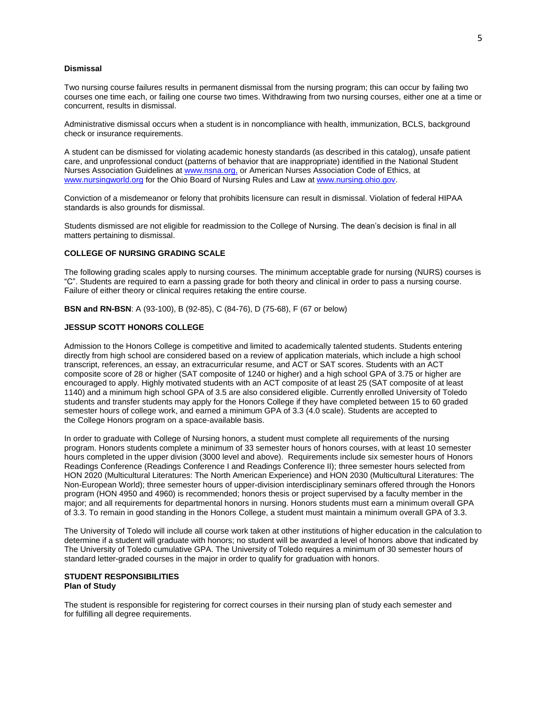#### **Dismissal**

Two nursing course failures results in permanent dismissal from the nursing program; this can occur by failing two courses one time each, or failing one course two times. Withdrawing from two nursing courses, either one at a time or concurrent, results in dismissal.

Administrative dismissal occurs when a student is in noncompliance with health, immunization, BCLS, background check or insurance requirements.

A student can be dismissed for violating academic honesty standards (as described in this catalog), unsafe patient care, and unprofessional conduct (patterns of behavior that are inappropriate) identified in the National Student Nurses Association Guidelines a[t www.nsna.org,](file://utad.utoledo.edu/DFS$/Volumes/dpasch/word/BSN-Undergrad%20Program%20Documents/www.nsna.org,%20) or American Nurses Association Code of Ethics, at [www.nursingworld.org](http://www.nursingworld.org/) for the Ohio Board of Nursing Rules and Law a[t www.nursing.ohio.gov.](http://www.nursing.ohio.gov/)

Conviction of a misdemeanor or felony that prohibits licensure can result in dismissal. Violation of federal HIPAA standards is also grounds for dismissal.

Students dismissed are not eligible for readmission to the College of Nursing. The dean's decision is final in all matters pertaining to dismissal.

## **COLLEGE OF NURSING GRADING SCALE**

The following grading scales apply to nursing courses. The minimum acceptable grade for nursing (NURS) courses is "C". Students are required to earn a passing grade for both theory and clinical in order to pass a nursing course. Failure of either theory or clinical requires retaking the entire course.

**BSN and RN-BSN**: A (93-100), B (92-85), C (84-76), D (75-68), F (67 or below)

#### **JESSUP SCOTT HONORS COLLEGE**

Admission to the Honors College is competitive and limited to academically talented students. Students entering directly from high school are considered based on a review of application materials, which include a high school transcript, references, an essay, an extracurricular resume, and ACT or SAT scores. Students with an ACT composite score of 28 or higher (SAT composite of 1240 or higher) and a high school GPA of 3.75 or higher are encouraged to apply. Highly motivated students with an ACT composite of at least 25 (SAT composite of at least 1140) and a minimum high school GPA of 3.5 are also considered eligible. Currently enrolled University of Toledo students and transfer students may apply for the Honors College if they have completed between 15 to 60 graded semester hours of college work, and earned a minimum GPA of 3.3 (4.0 scale). Students are accepted to the College Honors program on a space-available basis.

In order to graduate with College of Nursing honors, a student must complete all requirements of the nursing program. Honors students complete a minimum of 33 semester hours of honors courses, with at least 10 semester hours completed in the upper division (3000 level and above). Requirements include six semester hours of Honors Readings Conference (Readings Conference I and Readings Conference II); three semester hours selected from HON 2020 (Multicultural Literatures: The North American Experience) and HON 2030 (Multicultural Literatures: The Non-European World); three semester hours of upper-division interdisciplinary seminars offered through the Honors program (HON 4950 and 4960) is recommended; honors thesis or project supervised by a faculty member in the major; and all requirements for departmental honors in nursing. Honors students must earn a minimum overall GPA of 3.3. To remain in good standing in the Honors College, a student must maintain a minimum overall GPA of 3.3.

The University of Toledo will include all course work taken at other institutions of higher education in the calculation to determine if a student will graduate with honors; no student will be awarded a level of honors above that indicated by The University of Toledo cumulative GPA. The University of Toledo requires a minimum of 30 semester hours of standard letter-graded courses in the major in order to qualify for graduation with honors.

## **STUDENT RESPONSIBILITIES Plan of Study**

The student is responsible for registering for correct courses in their nursing plan of study each semester and for fulfilling all degree requirements.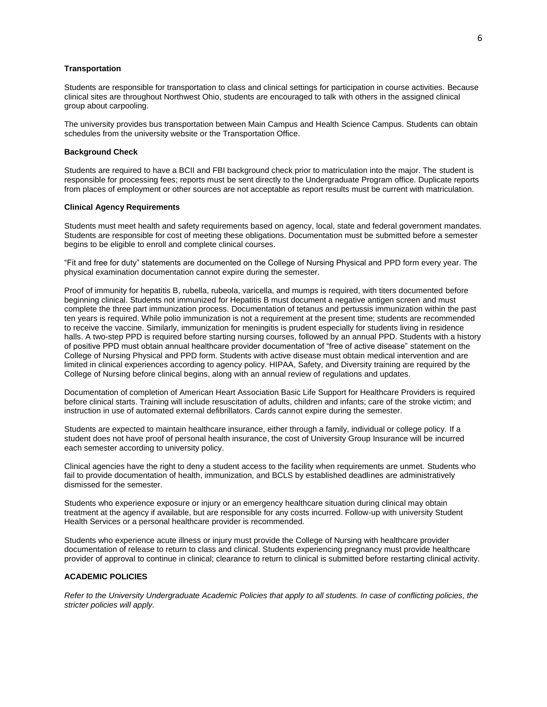## **Transportation**

Students are responsible for transportation to class and clinical settings for participation in course activities. Because clinical sites are throughout Northwest Ohio, students are encouraged to talk with others in the assigned clinical group about carpooling.

The university provides bus transportation between Main Campus and Health Science Campus. Students can obtain schedules from the university website or the Transportation Office.

## **Background Check**

Students are required to have a BCII and FBI background check prior to matriculation into the major. The student is responsible for processing fees; reports must be sent directly to the Undergraduate Program office. Duplicate reports from places of employment or other sources are not acceptable as report results must be current with matriculation.

## **Clinical Agency Requirements**

Students must meet health and safety requirements based on agency, local, state and federal government mandates. Students are responsible for cost of meeting these obligations. Documentation must be submitted before a semester begins to be eligible to enroll and complete clinical courses.

"Fit and free for duty" statements are documented on the College of Nursing Physical and PPD form every year. The physical examination documentation cannot expire during the semester.

Proof of immunity for hepatitis B, rubella, rubeola, varicella, and mumps is required, with titers documented before beginning clinical. Students not immunized for Hepatitis B must document a negative antigen screen and must complete the three part immunization process. Documentation of tetanus and pertussis immunization within the past ten years is required. While polio immunization is not a requirement at the present time; students are recommended to receive the vaccine. Similarly, immunization for meningitis is prudent especially for students living in residence halls. A two-step PPD is required before starting nursing courses, followed by an annual PPD. Students with a history of positive PPD must obtain annual healthcare provider documentation of "free of active disease" statement on the College of Nursing Physical and PPD form. Students with active disease must obtain medical intervention and are limited in clinical experiences according to agency policy. HIPAA, Safety, and Diversity training are required by the College of Nursing before clinical begins, along with an annual review of regulations and updates.

Documentation of completion of American Heart Association Basic Life Support for Healthcare Providers is required before clinical starts. Training will include resuscitation of adults, children and infants; care of the stroke victim; and instruction in use of automated external defibrillators. Cards cannot expire during the semester.

Students are expected to maintain healthcare insurance, either through a family, individual or college policy. If a student does not have proof of personal health insurance, the cost of University Group Insurance will be incurred each semester according to university policy.

Clinical agencies have the right to deny a student access to the facility when requirements are unmet. Students who fail to provide documentation of health, immunization, and BCLS by established deadlines are administratively dismissed for the semester.

Students who experience exposure or injury or an emergency healthcare situation during clinical may obtain treatment at the agency if available, but are responsible for any costs incurred. Follow-up with university Student Health Services or a personal healthcare provider is recommended.

Students who experience acute illness or injury must provide the College of Nursing with healthcare provider documentation of release to return to class and clinical. Students experiencing pregnancy must provide healthcare provider of approval to continue in clinical; clearance to return to clinical is submitted before restarting clinical activity.

### **ACADEMIC POLICIES**

*Refer to the University Undergraduate Academic Policies that apply to all students. In case of conflicting policies, the stricter policies will apply.*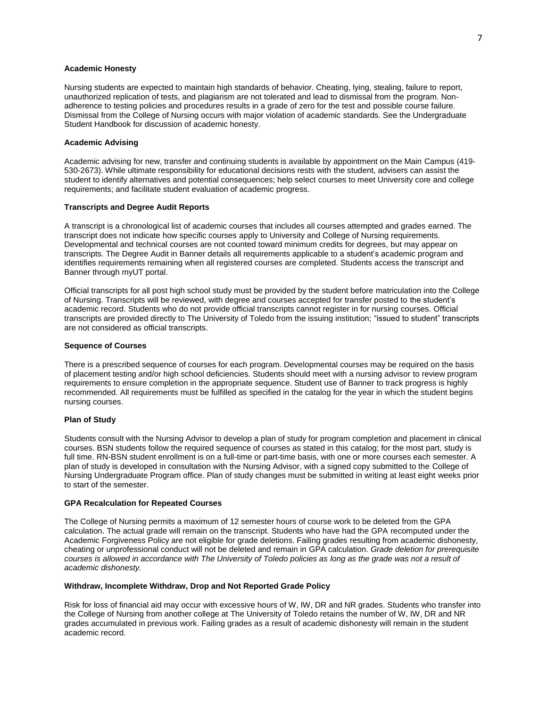## **Academic Honesty**

Nursing students are expected to maintain high standards of behavior. Cheating, lying, stealing, failure to report, unauthorized replication of tests, and plagiarism are not tolerated and lead to dismissal from the program. Nonadherence to testing policies and procedures results in a grade of zero for the test and possible course failure. Dismissal from the College of Nursing occurs with major violation of academic standards. See the Undergraduate Student Handbook for discussion of academic honesty.

## **Academic Advising**

Academic advising for new, transfer and continuing students is available by appointment on the Main Campus (419- 530-2673). While ultimate responsibility for educational decisions rests with the student, advisers can assist the student to identify alternatives and potential consequences; help select courses to meet University core and college requirements; and facilitate student evaluation of academic progress.

## **Transcripts and Degree Audit Reports**

A transcript is a chronological list of academic courses that includes all courses attempted and grades earned. The transcript does not indicate how specific courses apply to University and College of Nursing requirements. Developmental and technical courses are not counted toward minimum credits for degrees, but may appear on transcripts. The Degree Audit in Banner details all requirements applicable to a student's academic program and identifies requirements remaining when all registered courses are completed. Students access the transcript and Banner through myUT portal.

Official transcripts for all post high school study must be provided by the student before matriculation into the College of Nursing. Transcripts will be reviewed, with degree and courses accepted for transfer posted to the student's academic record. Students who do not provide official transcripts cannot register in for nursing courses. Official transcripts are provided directly to The University of Toledo from the issuing institution; "issued to student" transcripts are not considered as official transcripts.

#### **Sequence of Courses**

There is a prescribed sequence of courses for each program. Developmental courses may be required on the basis of placement testing and/or high school deficiencies. Students should meet with a nursing advisor to review program requirements to ensure completion in the appropriate sequence. Student use of Banner to track progress is highly recommended. All requirements must be fulfilled as specified in the catalog for the year in which the student begins nursing courses.

## **Plan of Study**

Students consult with the Nursing Advisor to develop a plan of study for program completion and placement in clinical courses. BSN students follow the required sequence of courses as stated in this catalog; for the most part, study is full time. RN-BSN student enrollment is on a full-time or part-time basis, with one or more courses each semester. A plan of study is developed in consultation with the Nursing Advisor, with a signed copy submitted to the College of Nursing Undergraduate Program office. Plan of study changes must be submitted in writing at least eight weeks prior to start of the semester.

#### **GPA Recalculation for Repeated Courses**

The College of Nursing permits a maximum of 12 semester hours of course work to be deleted from the GPA calculation. The actual grade will remain on the transcript. Students who have had the GPA recomputed under the Academic Forgiveness Policy are not eligible for grade deletions. Failing grades resulting from academic dishonesty, cheating or unprofessional conduct will not be deleted and remain in GPA calculation. *Grade deletion for prerequisite courses is allowed in accordance with The University of Toledo policies as long as the grade was not a result of academic dishonesty.*

## **Withdraw, Incomplete Withdraw, Drop and Not Reported Grade Policy**

Risk for loss of financial aid may occur with excessive hours of W, IW, DR and NR grades. Students who transfer into the College of Nursing from another college at The University of Toledo retains the number of W, IW, DR and NR grades accumulated in previous work. Failing grades as a result of academic dishonesty will remain in the student academic record.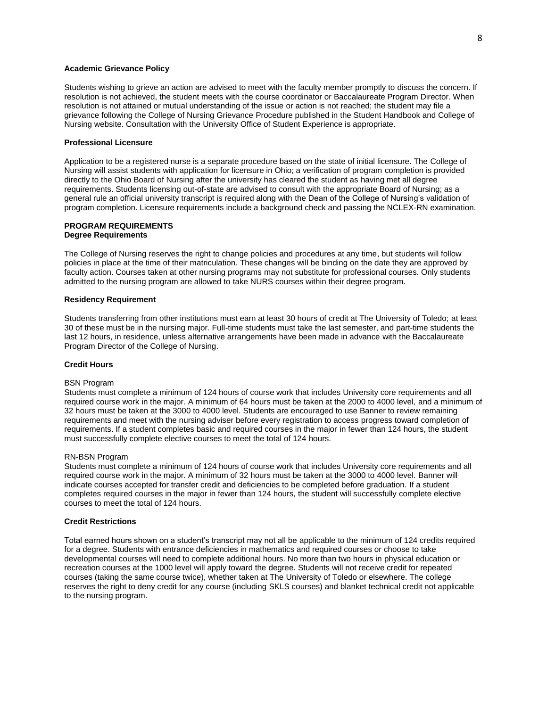### **Academic Grievance Policy**

Students wishing to grieve an action are advised to meet with the faculty member promptly to discuss the concern. If resolution is not achieved, the student meets with the course coordinator or Baccalaureate Program Director. When resolution is not attained or mutual understanding of the issue or action is not reached; the student may file a grievance following the College of Nursing Grievance Procedure published in the Student Handbook and College of Nursing website. Consultation with the University Office of Student Experience is appropriate.

#### **Professional Licensure**

Application to be a registered nurse is a separate procedure based on the state of initial licensure. The College of Nursing will assist students with application for licensure in Ohio; a verification of program completion is provided directly to the Ohio Board of Nursing after the university has cleared the student as having met all degree requirements. Students licensing out-of-state are advised to consult with the appropriate Board of Nursing; as a general rule an official university transcript is required along with the Dean of the College of Nursing's validation of program completion. Licensure requirements include a background check and passing the NCLEX-RN examination.

# **PROGRAM REQUIREMENTS Degree Requirements**

The College of Nursing reserves the right to change policies and procedures at any time, but students will follow policies in place at the time of their matriculation. These changes will be binding on the date they are approved by faculty action. Courses taken at other nursing programs may not substitute for professional courses. Only students admitted to the nursing program are allowed to take NURS courses within their degree program.

#### **Residency Requirement**

Students transferring from other institutions must earn at least 30 hours of credit at The University of Toledo; at least 30 of these must be in the nursing major. Full-time students must take the last semester, and part-time students the last 12 hours, in residence, unless alternative arrangements have been made in advance with the Baccalaureate Program Director of the College of Nursing.

#### **Credit Hours**

#### BSN Program

Students must complete a minimum of 124 hours of course work that includes University core requirements and all required course work in the major. A minimum of 64 hours must be taken at the 2000 to 4000 level, and a minimum of 32 hours must be taken at the 3000 to 4000 level. Students are encouraged to use Banner to review remaining requirements and meet with the nursing adviser before every registration to access progress toward completion of requirements. If a student completes basic and required courses in the major in fewer than 124 hours, the student must successfully complete elective courses to meet the total of 124 hours.

#### RN-BSN Program

Students must complete a minimum of 124 hours of course work that includes University core requirements and all required course work in the major. A minimum of 32 hours must be taken at the 3000 to 4000 level. Banner will indicate courses accepted for transfer credit and deficiencies to be completed before graduation. If a student completes required courses in the major in fewer than 124 hours, the student will successfully complete elective courses to meet the total of 124 hours.

## **Credit Restrictions**

Total earned hours shown on a student's transcript may not all be applicable to the minimum of 124 credits required for a degree. Students with entrance deficiencies in mathematics and required courses or choose to take developmental courses will need to complete additional hours. No more than two hours in physical education or recreation courses at the 1000 level will apply toward the degree. Students will not receive credit for repeated courses (taking the same course twice), whether taken at The University of Toledo or elsewhere. The college reserves the right to deny credit for any course (including SKLS courses) and blanket technical credit not applicable to the nursing program.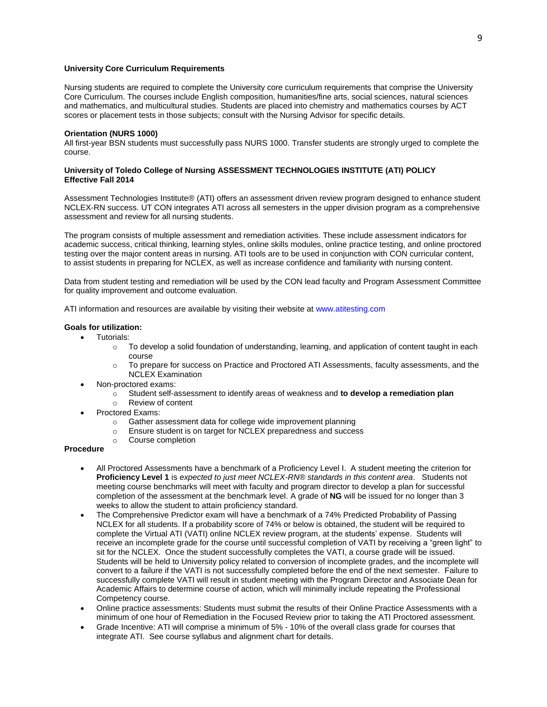## **University Core Curriculum Requirements**

Nursing students are required to complete the University core curriculum requirements that comprise the University Core Curriculum. The courses include English composition, humanities/fine arts, social sciences, natural sciences and mathematics, and multicultural studies. Students are placed into chemistry and mathematics courses by ACT scores or placement tests in those subjects; consult with the Nursing Advisor for specific details.

## **Orientation (NURS 1000)**

All first-year BSN students must successfully pass NURS 1000. Transfer students are strongly urged to complete the course.

# **University of Toledo College of Nursing ASSESSMENT TECHNOLOGIES INSTITUTE (ATI) POLICY Effective Fall 2014**

Assessment Technologies Institute® (ATI) offers an assessment driven review program designed to enhance student NCLEX-RN success. UT CON integrates ATI across all semesters in the upper division program as a comprehensive assessment and review for all nursing students.

The program consists of multiple assessment and remediation activities. These include assessment indicators for academic success, critical thinking, learning styles, online skills modules, online practice testing, and online proctored testing over the major content areas in nursing. ATI tools are to be used in conjunction with CON curricular content, to assist students in preparing for NCLEX, as well as increase confidence and familiarity with nursing content.

Data from student testing and remediation will be used by the CON lead faculty and Program Assessment Committee for quality improvement and outcome evaluation.

ATI information and resources are available by visiting their website at www.atitesting.com

## **Goals for utilization:**

- Tutorials:
	- $\circ$  To develop a solid foundation of understanding, learning, and application of content taught in each course
	- $\circ$  To prepare for success on Practice and Proctored ATI Assessments, faculty assessments, and the NCLEX Examination
	- Non-proctored exams:
		- o Student self-assessment to identify areas of weakness and **to develop a remediation plan**
		- o Review of content
	- Proctored Exams:
		- o Gather assessment data for college wide improvement planning
		- o Ensure student is on target for NCLEX preparedness and success
		- o Course completion

# **Procedure**

- All Proctored Assessments have a benchmark of a Proficiency Level I. A student meeting the criterion for **Proficiency Level 1** is *expected to just meet NCLEX-RN® standards in this content area*. Students not meeting course benchmarks will meet with faculty and program director to develop a plan for successful completion of the assessment at the benchmark level. A grade of **NG** will be issued for no longer than 3 weeks to allow the student to attain proficiency standard.
- The Comprehensive Predictor exam will have a benchmark of a 74% Predicted Probability of Passing NCLEX for all students. If a probability score of 74% or below is obtained, the student will be required to complete the Virtual ATI (VATI) online NCLEX review program, at the students' expense. Students will receive an incomplete grade for the course until successful completion of VATI by receiving a "green light" to sit for the NCLEX. Once the student successfully completes the VATI, a course grade will be issued. Students will be held to University policy related to conversion of incomplete grades, and the incomplete will convert to a failure if the VATI is not successfully completed before the end of the next semester. Failure to successfully complete VATI will result in student meeting with the Program Director and Associate Dean for Academic Affairs to determine course of action, which will minimally include repeating the Professional Competency course.
- Online practice assessments: Students must submit the results of their Online Practice Assessments with a minimum of one hour of Remediation in the Focused Review prior to taking the ATI Proctored assessment.
- Grade Incentive: ATI will comprise a minimum of 5% 10% of the overall class grade for courses that integrate ATI. See course syllabus and alignment chart for details.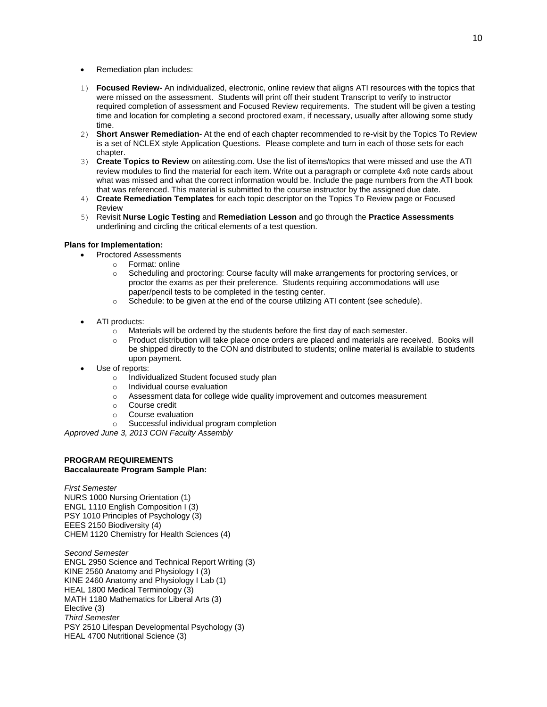- Remediation plan includes:
- 1) **Focused Review-** An individualized, electronic, online review that aligns ATI resources with the topics that were missed on the assessment. Students will print off their student Transcript to verify to instructor required completion of assessment and Focused Review requirements. The student will be given a testing time and location for completing a second proctored exam, if necessary, usually after allowing some study time.
- 2) **Short Answer Remediation** At the end of each chapter recommended to re-visit by the Topics To Review is a set of NCLEX style Application Questions. Please complete and turn in each of those sets for each chapter.
- 3) **Create Topics to Review** on atitesting.com. Use the list of items/topics that were missed and use the ATI review modules to find the material for each item. Write out a paragraph or complete 4x6 note cards about what was missed and what the correct information would be. Include the page numbers from the ATI book that was referenced. This material is submitted to the course instructor by the assigned due date.
- 4) **Create Remediation Templates** for each topic descriptor on the Topics To Review page or Focused Review
- 5) Revisit **Nurse Logic Testing** and **Remediation Lesson** and go through the **Practice Assessments** underlining and circling the critical elements of a test question.

# **Plans for Implementation:**

- Proctored Assessments
	- o Format: online
	- $\circ$  Scheduling and proctoring: Course faculty will make arrangements for proctoring services, or proctor the exams as per their preference. Students requiring accommodations will use paper/pencil tests to be completed in the testing center.
	- $\circ$  Schedule: to be given at the end of the course utilizing ATI content (see schedule).
- ATI products:
	- o Materials will be ordered by the students before the first day of each semester.
	- o Product distribution will take place once orders are placed and materials are received. Books will be shipped directly to the CON and distributed to students; online material is available to students upon payment.
- Use of reports:
	- o Individualized Student focused study plan
	- o Individual course evaluation
	- o Assessment data for college wide quality improvement and outcomes measurement
	- o Course credit
	- o Course evaluation
	- o Successful individual program completion

*Approved June 3, 2013 CON Faculty Assembly*

# **PROGRAM REQUIREMENTS Baccalaureate Program Sample Plan:**

*First Semester* NURS 1000 Nursing Orientation (1) ENGL 1110 English Composition I (3) PSY 1010 Principles of Psychology (3) EEES 2150 Biodiversity (4) CHEM 1120 Chemistry for Health Sciences (4)

*Second Semester* ENGL 2950 Science and Technical Report Writing (3) KINE 2560 Anatomy and Physiology I (3) KINE 2460 Anatomy and Physiology I Lab (1) HEAL 1800 Medical Terminology (3) MATH 1180 Mathematics for Liberal Arts (3) Elective (3) *Third Semester* PSY 2510 Lifespan Developmental Psychology (3) HEAL 4700 Nutritional Science (3)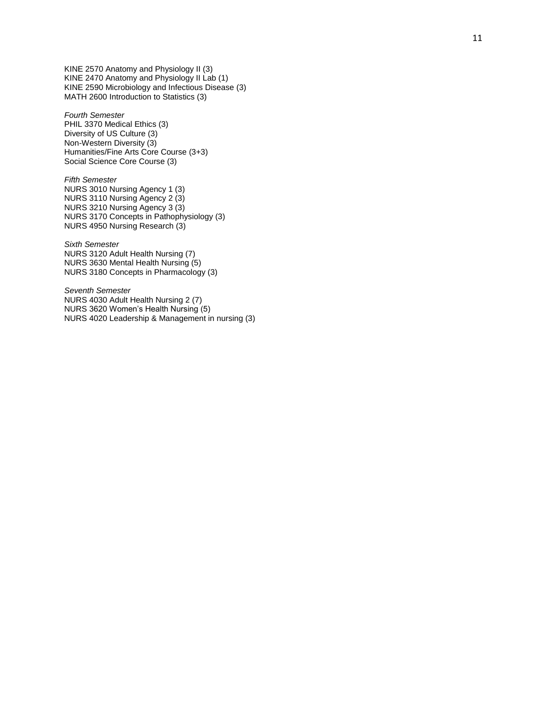KINE 2570 Anatomy and Physiology II (3 ) KINE 2470 Anatomy and Physiology II Lab (1) KINE 2590 Microbiology and Infectious Disease (3) MATH 2600 Introduction to Statistics (3)

*Fourth Semester* PHIL 3370 Medical Ethics (3) Diversity of US Culture (3) Non -Western Diversity (3) Humanities/Fine Arts Core Course (3+3) Social Science Core Course (3)

*Fifth Semester* NURS 3010 Nursing Agency 1 (3) NURS 3110 Nursing Agency 2 (3) NURS 3210 Nursing Agency 3 (3) NURS 3170 Concepts in Pathophysiology (3) NURS 4950 Nursing Research (3)

*Sixth Semester* NURS 3120 Adult Health Nursing (7) NURS 3630 Mental Health Nursing (5) NURS 3180 Concepts in Pharmacology (3)

*Seventh Semester* NURS 4030 Adult Health Nursing 2 (7) NURS 3620 Women's Health Nursing (5) NURS 4020 Leadership & Management in nursing (3)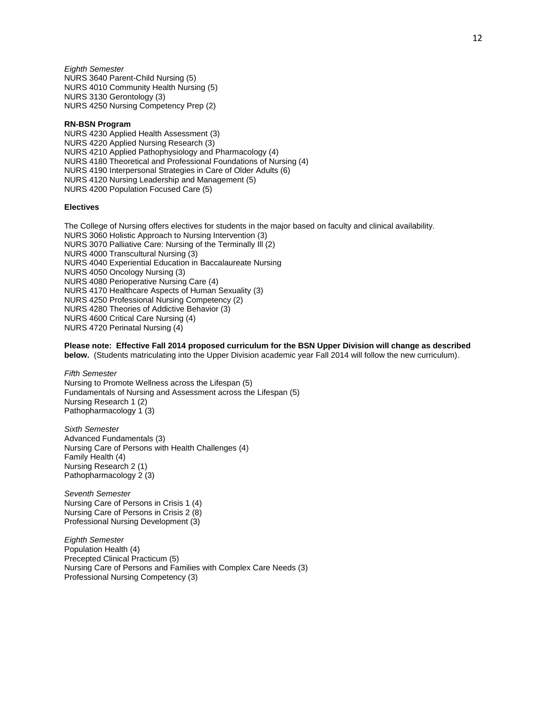*Eighth Semester* NURS 3640 Parent-Child Nursing (5) NURS 4010 Community Health Nursing (5) NURS 3130 Gerontology (3) NURS 4250 Nursing Competency Prep (2)

#### **RN-BSN Program**

NURS 4230 Applied Health Assessment (3) NURS 4220 Applied Nursing Research (3) NURS 4210 Applied Pathophysiology and Pharmacology (4) NURS 4180 Theoretical and Professional Foundations of Nursing (4) NURS 4190 Interpersonal Strategies in Care of Older Adults (6) NURS 4120 Nursing Leadership and Management (5) NURS 4200 Population Focused Care (5)

## **Electives**

The College of Nursing offers electives for students in the major based on faculty and clinical availability. NURS 3060 Holistic Approach to Nursing Intervention (3) NURS 3070 Palliative Care: Nursing of the Terminally Ill (2) NURS 4000 Transcultural Nursing (3) NURS 4040 Experiential Education in Baccalaureate Nursing NURS 4050 Oncology Nursing (3) NURS 4080 Perioperative Nursing Care (4) NURS 4170 Healthcare Aspects of Human Sexuality (3) NURS 4250 Professional Nursing Competency (2) NURS 4280 Theories of Addictive Behavior (3) NURS 4600 Critical Care Nursing (4) NURS 4720 Perinatal Nursing (4)

**Please note: Effective Fall 2014 proposed curriculum for the BSN Upper Division will change as described below.** (Students matriculating into the Upper Division academic year Fall 2014 will follow the new curriculum).

*Fifth Semester* Nursing to Promote Wellness across the Lifespan (5) Fundamentals of Nursing and Assessment across the Lifespan (5) Nursing Research 1 (2) Pathopharmacology 1 (3)

*Sixth Semester* Advanced Fundamentals (3) Nursing Care of Persons with Health Challenges (4) Family Health (4) Nursing Research 2 (1) Pathopharmacology 2 (3)

*Seventh Semester* Nursing Care of Persons in Crisis 1 (4) Nursing Care of Persons in Crisis 2 (8) Professional Nursing Development (3)

*Eighth Semester* Population Health (4) Precepted Clinical Practicum (5) Nursing Care of Persons and Families with Complex Care Needs (3) Professional Nursing Competency (3)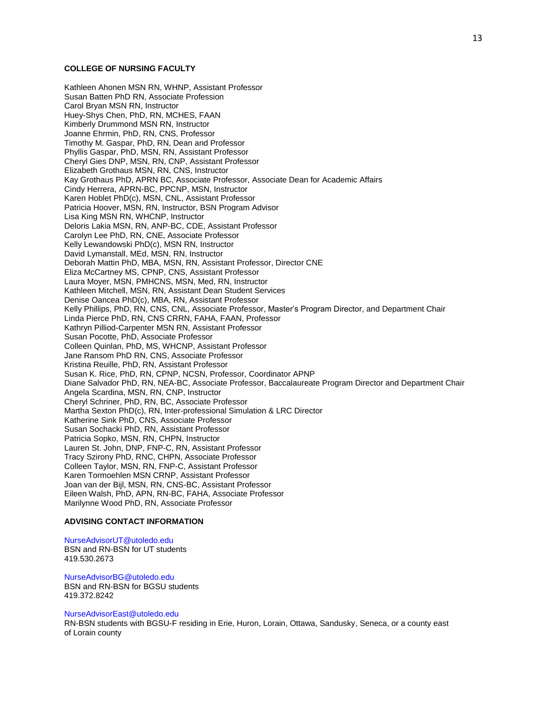## **COLLEGE OF NURSING FACULTY**

Kathleen Ahonen MSN RN, WHNP, Assistant Professor Susan Batten PhD RN, Associate Profession Carol Bryan MSN RN, Instructor Huey-Shys Chen, PhD, RN, MCHES, FAAN Kimberly Drummond MSN RN, Instructor Joanne Ehrmin, PhD, RN, CNS, Professor Timothy M. Gaspar, PhD, RN, Dean and Professor Phyllis Gaspar, PhD, MSN, RN, Assistant Professor Cheryl Gies DNP, MSN, RN, CNP, Assistant Professor Elizabeth Grothaus MSN, RN, CNS, Instructor Kay Grothaus PhD, APRN BC, Associate Professor, Associate Dean for Academic Affairs Cindy Herrera, APRN-BC, PPCNP, MSN, Instructor Karen Hoblet PhD(c), MSN, CNL, Assistant Professor Patricia Hoover, MSN, RN, Instructor, BSN Program Advisor Lisa King MSN RN, WHCNP, Instructor Deloris Lakia MSN, RN, ANP-BC, CDE, Assistant Professor Carolyn Lee PhD, RN, CNE, Associate Professor Kelly Lewandowski PhD(c), MSN RN, Instructor David Lymanstall, MEd, MSN, RN, Instructor Deborah Mattin PhD, MBA, MSN, RN, Assistant Professor, Director CNE Eliza McCartney MS, CPNP, CNS, Assistant Professor Laura Moyer, MSN, PMHCNS, MSN, Med, RN, Instructor Kathleen Mitchell, MSN, RN, Assistant Dean Student Services Denise Oancea PhD(c), MBA, RN, Assistant Professor Kelly Phillips, PhD, RN, CNS, CNL, Associate Professor, Master's Program Director, and Department Chair Linda Pierce PhD, RN, CNS CRRN, FAHA, FAAN, Professor Kathryn Pilliod-Carpenter MSN RN, Assistant Professor Susan Pocotte, PhD, Associate Professor Colleen Quinlan, PhD, MS, WHCNP, Assistant Professor Jane Ransom PhD RN, CNS, Associate Professor Kristina Reuille, PhD, RN, Assistant Professor Susan K. Rice, PhD, RN, CPNP, NCSN, Professor, Coordinator APNP Diane Salvador PhD, RN, NEA-BC, Associate Professor, Baccalaureate Program Director and Department Chair Angela Scardina, MSN, RN, CNP, Instructor Cheryl Schriner, PhD, RN, BC, Associate Professor Martha Sexton PhD(c), RN, Inter-professional Simulation & LRC Director Katherine Sink PhD, CNS, Associate Professor Susan Sochacki PhD, RN, Assistant Professor Patricia Sopko, MSN, RN, CHPN, Instructor Lauren St. John, DNP, FNP-C, RN, Assistant Professor Tracy Szirony PhD, RNC, CHPN, Associate Professor Colleen Taylor, MSN, RN, FNP-C, Assistant Professor Karen Tormoehlen MSN CRNP, Assistant Professor Joan van der Bijl, MSN, RN, CNS-BC, Assistant Professor Eileen Walsh, PhD, APN, RN-BC, FAHA, Associate Professor Marilynne Wood PhD, RN, Associate Professor

### **ADVISING CONTACT INFORMATION**

#### NurseAdvisorUT@utoledo.edu

BSN and RN-BSN for UT students 419.530.2673

NurseAdvisorBG@utoledo.edu BSN and RN-BSN for BGSU students 419.372.8242

#### NurseAdvisorEast@utoledo.edu

RN-BSN students with BGSU-F residing in Erie, Huron, Lorain, Ottawa, Sandusky, Seneca, or a county east of Lorain county